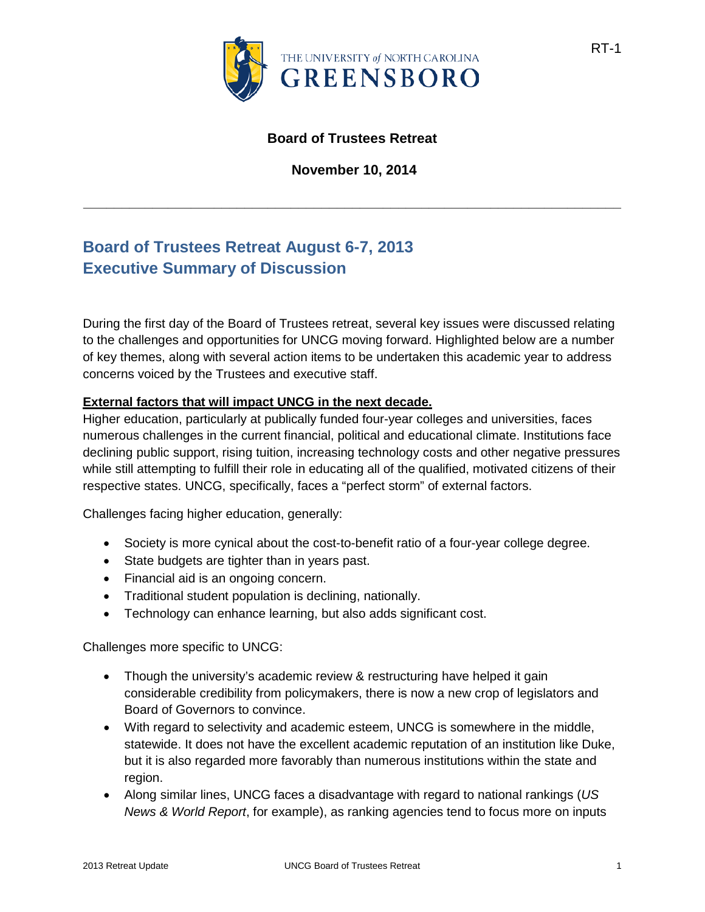

### **Board of Trustees Retreat**

**November 10, 2014**

**\_\_\_\_\_\_\_\_\_\_\_\_\_\_\_\_\_\_\_\_\_\_\_\_\_\_\_\_\_\_\_\_\_\_\_\_\_\_\_\_\_\_\_\_\_\_\_\_\_\_\_\_\_\_\_\_\_\_\_\_\_\_\_\_\_\_\_\_\_\_**

# **Board of Trustees Retreat August 6-7, 2013 Executive Summary of Discussion**

During the first day of the Board of Trustees retreat, several key issues were discussed relating to the challenges and opportunities for UNCG moving forward. Highlighted below are a number of key themes, along with several action items to be undertaken this academic year to address concerns voiced by the Trustees and executive staff.

#### **External factors that will impact UNCG in the next decade.**

Higher education, particularly at publically funded four-year colleges and universities, faces numerous challenges in the current financial, political and educational climate. Institutions face declining public support, rising tuition, increasing technology costs and other negative pressures while still attempting to fulfill their role in educating all of the qualified, motivated citizens of their respective states. UNCG, specifically, faces a "perfect storm" of external factors.

Challenges facing higher education, generally:

- Society is more cynical about the cost-to-benefit ratio of a four-year college degree.
- State budgets are tighter than in years past.
- Financial aid is an ongoing concern.
- Traditional student population is declining, nationally.
- Technology can enhance learning, but also adds significant cost.

Challenges more specific to UNCG:

- Though the university's academic review & restructuring have helped it gain considerable credibility from policymakers, there is now a new crop of legislators and Board of Governors to convince.
- With regard to selectivity and academic esteem, UNCG is somewhere in the middle, statewide. It does not have the excellent academic reputation of an institution like Duke, but it is also regarded more favorably than numerous institutions within the state and region.
- Along similar lines, UNCG faces a disadvantage with regard to national rankings (*US News & World Report*, for example), as ranking agencies tend to focus more on inputs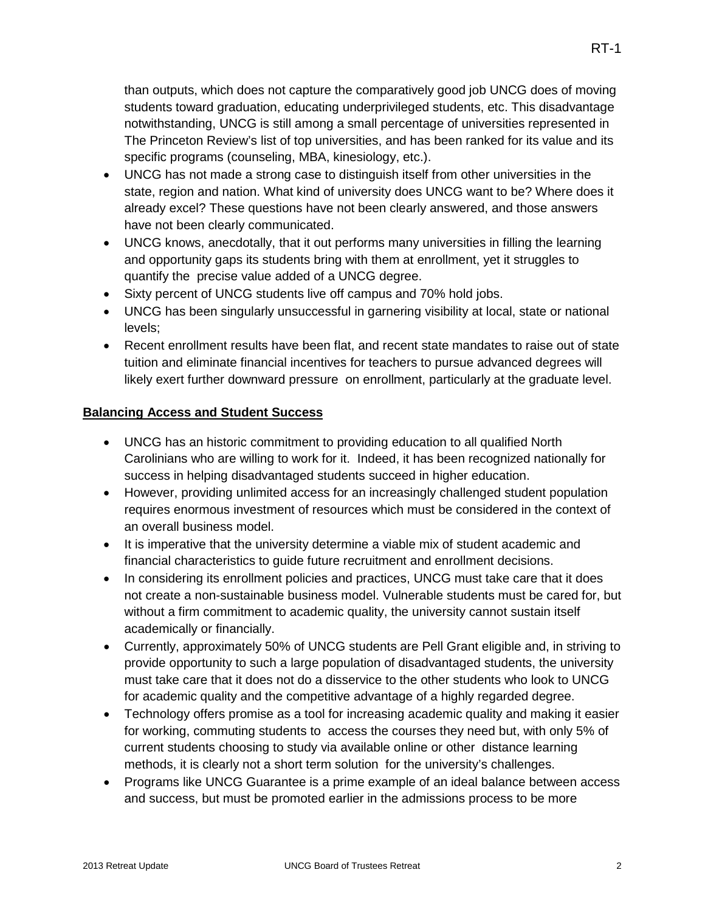- UNCG has not made a strong case to distinguish itself from other universities in the state, region and nation. What kind of university does UNCG want to be? Where does it already excel? These questions have not been clearly answered, and those answers have not been clearly communicated.
- UNCG knows, anecdotally, that it out performs many universities in filling the learning and opportunity gaps its students bring with them at enrollment, yet it struggles to quantify the precise value added of a UNCG degree.
- Sixty percent of UNCG students live off campus and 70% hold jobs.
- UNCG has been singularly unsuccessful in garnering visibility at local, state or national levels;
- Recent enrollment results have been flat, and recent state mandates to raise out of state tuition and eliminate financial incentives for teachers to pursue advanced degrees will likely exert further downward pressure on enrollment, particularly at the graduate level.

## **Balancing Access and Student Success**

- UNCG has an historic commitment to providing education to all qualified North Carolinians who are willing to work for it. Indeed, it has been recognized nationally for success in helping disadvantaged students succeed in higher education.
- However, providing unlimited access for an increasingly challenged student population requires enormous investment of resources which must be considered in the context of an overall business model.
- It is imperative that the university determine a viable mix of student academic and financial characteristics to guide future recruitment and enrollment decisions.
- In considering its enrollment policies and practices, UNCG must take care that it does not create a non-sustainable business model. Vulnerable students must be cared for, but without a firm commitment to academic quality, the university cannot sustain itself academically or financially.
- Currently, approximately 50% of UNCG students are Pell Grant eligible and, in striving to provide opportunity to such a large population of disadvantaged students, the university must take care that it does not do a disservice to the other students who look to UNCG for academic quality and the competitive advantage of a highly regarded degree.
- Technology offers promise as a tool for increasing academic quality and making it easier for working, commuting students to access the courses they need but, with only 5% of current students choosing to study via available online or other distance learning methods, it is clearly not a short term solution for the university's challenges.
- Programs like UNCG Guarantee is a prime example of an ideal balance between access and success, but must be promoted earlier in the admissions process to be more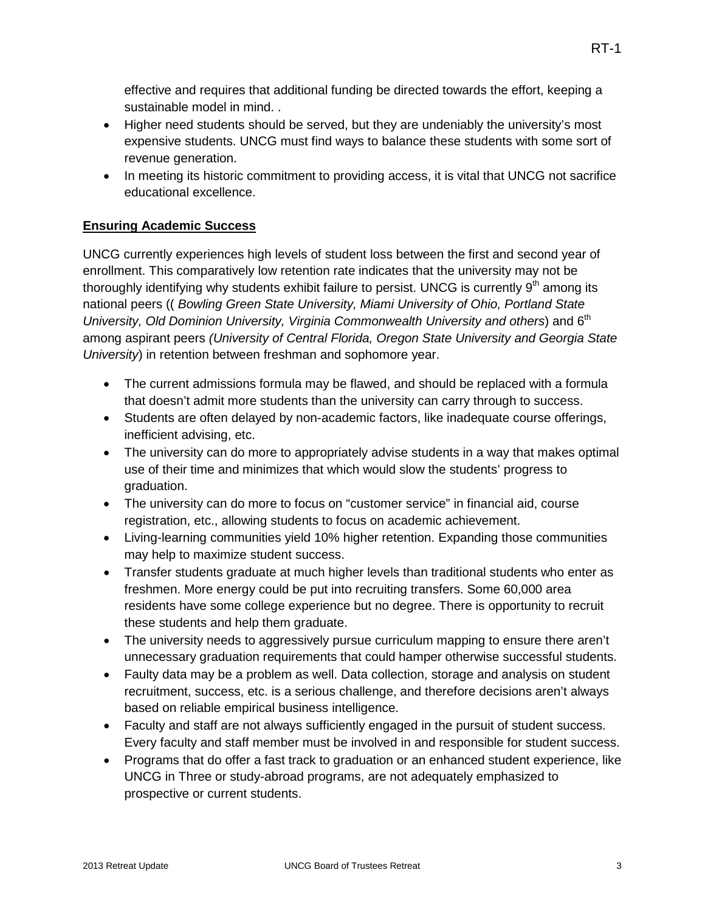effective and requires that additional funding be directed towards the effort, keeping a sustainable model in mind. .

- Higher need students should be served, but they are undeniably the university's most expensive students. UNCG must find ways to balance these students with some sort of revenue generation.
- In meeting its historic commitment to providing access, it is vital that UNCG not sacrifice educational excellence.

#### **Ensuring Academic Success**

UNCG currently experiences high levels of student loss between the first and second year of enrollment. This comparatively low retention rate indicates that the university may not be thoroughly identifying why students exhibit failure to persist. UNCG is currently 9<sup>th</sup> among its national peers (( *Bowling Green State University, Miami University of Ohio, Portland State University, Old Dominion University, Virginia Commonwealth University and others*) and 6<sup>th</sup> among aspirant peers *(University of Central Florida, Oregon State University and Georgia State University*) in retention between freshman and sophomore year.

- The current admissions formula may be flawed, and should be replaced with a formula that doesn't admit more students than the university can carry through to success.
- Students are often delayed by non-academic factors, like inadequate course offerings, inefficient advising, etc.
- The university can do more to appropriately advise students in a way that makes optimal use of their time and minimizes that which would slow the students' progress to graduation.
- The university can do more to focus on "customer service" in financial aid, course registration, etc., allowing students to focus on academic achievement.
- Living-learning communities yield 10% higher retention. Expanding those communities may help to maximize student success.
- Transfer students graduate at much higher levels than traditional students who enter as freshmen. More energy could be put into recruiting transfers. Some 60,000 area residents have some college experience but no degree. There is opportunity to recruit these students and help them graduate.
- The university needs to aggressively pursue curriculum mapping to ensure there aren't unnecessary graduation requirements that could hamper otherwise successful students.
- Faulty data may be a problem as well. Data collection, storage and analysis on student recruitment, success, etc. is a serious challenge, and therefore decisions aren't always based on reliable empirical business intelligence.
- Faculty and staff are not always sufficiently engaged in the pursuit of student success. Every faculty and staff member must be involved in and responsible for student success.
- Programs that do offer a fast track to graduation or an enhanced student experience, like UNCG in Three or study-abroad programs, are not adequately emphasized to prospective or current students.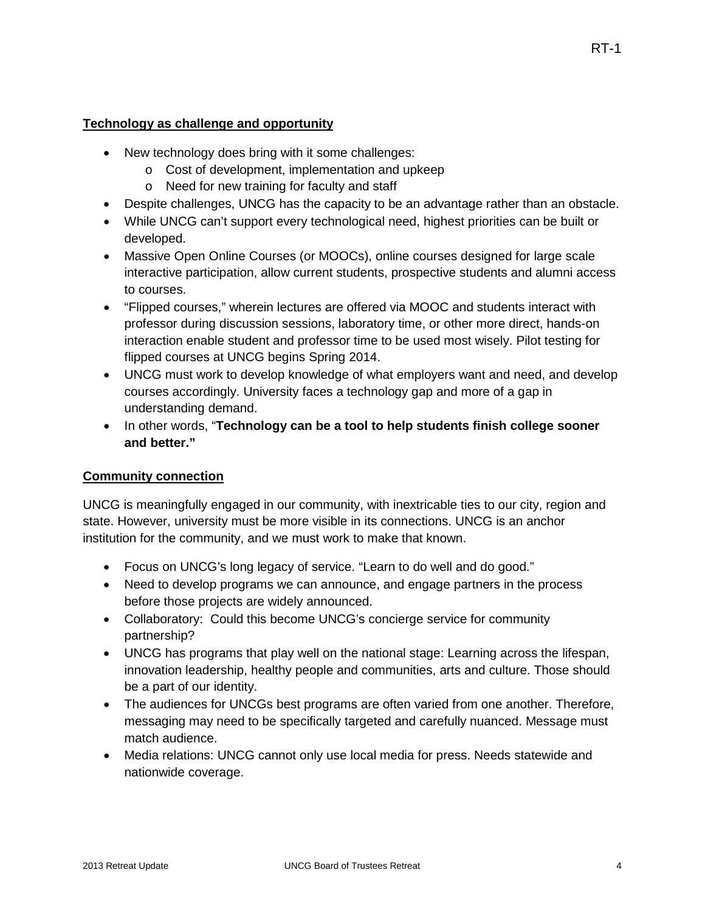#### **Technology as challenge and opportunity**

- New technology does bring with it some challenges:
	- o Cost of development, implementation and upkeep
	- o Need for new training for faculty and staff
- Despite challenges, UNCG has the capacity to be an advantage rather than an obstacle.
- While UNCG can't support every technological need, highest priorities can be built or developed.
- Massive Open Online Courses (or MOOCs), online courses designed for large scale interactive participation, allow current students, prospective students and alumni access to courses.
- "Flipped courses," wherein lectures are offered via MOOC and students interact with professor during discussion sessions, laboratory time, or other more direct, hands-on interaction enable student and professor time to be used most wisely. Pilot testing for flipped courses at UNCG begins Spring 2014.
- UNCG must work to develop knowledge of what employers want and need, and develop courses accordingly. University faces a technology gap and more of a gap in understanding demand.
- In other words, "**Technology can be a tool to help students finish college sooner and better."**

### **Community connection**

UNCG is meaningfully engaged in our community, with inextricable ties to our city, region and state. However, university must be more visible in its connections. UNCG is an anchor institution for the community, and we must work to make that known.

- Focus on UNCG's long legacy of service. "Learn to do well and do good."
- Need to develop programs we can announce, and engage partners in the process before those projects are widely announced.
- Collaboratory: Could this become UNCG's concierge service for community partnership?
- UNCG has programs that play well on the national stage: Learning across the lifespan, innovation leadership, healthy people and communities, arts and culture. Those should be a part of our identity.
- The audiences for UNCGs best programs are often varied from one another. Therefore, messaging may need to be specifically targeted and carefully nuanced. Message must match audience.
- Media relations: UNCG cannot only use local media for press. Needs statewide and nationwide coverage.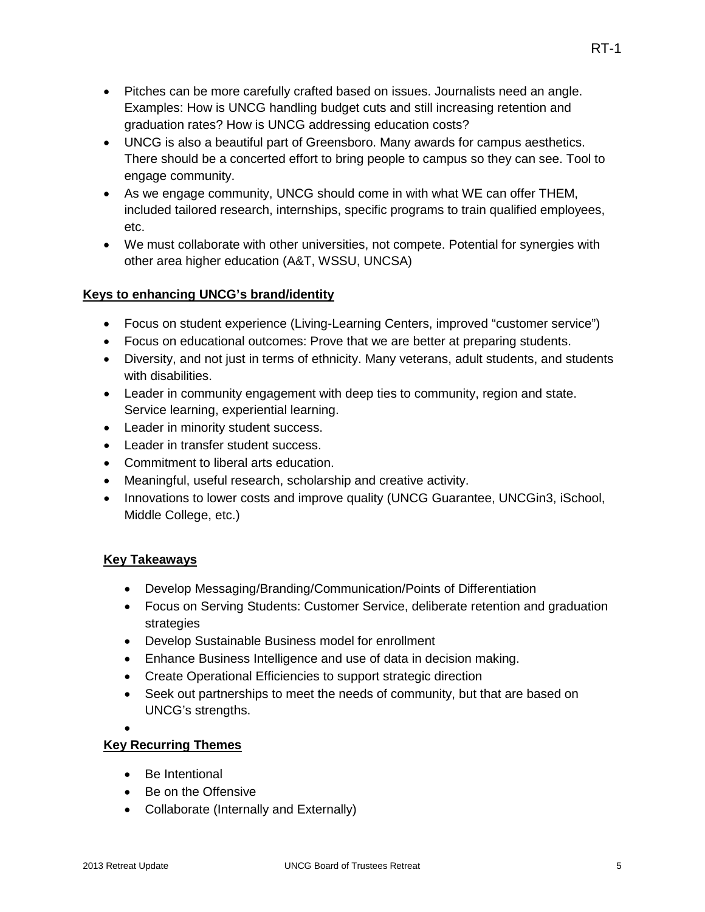- Pitches can be more carefully crafted based on issues. Journalists need an angle. Examples: How is UNCG handling budget cuts and still increasing retention and graduation rates? How is UNCG addressing education costs?
- UNCG is also a beautiful part of Greensboro. Many awards for campus aesthetics. There should be a concerted effort to bring people to campus so they can see. Tool to engage community.
- As we engage community, UNCG should come in with what WE can offer THEM, included tailored research, internships, specific programs to train qualified employees, etc.
- We must collaborate with other universities, not compete. Potential for synergies with other area higher education (A&T, WSSU, UNCSA)

#### **Keys to enhancing UNCG's brand/identity**

- Focus on student experience (Living-Learning Centers, improved "customer service")
- Focus on educational outcomes: Prove that we are better at preparing students.
- Diversity, and not just in terms of ethnicity. Many veterans, adult students, and students with disabilities.
- Leader in community engagement with deep ties to community, region and state. Service learning, experiential learning.
- Leader in minority student success.
- Leader in transfer student success.
- Commitment to liberal arts education.
- Meaningful, useful research, scholarship and creative activity.
- Innovations to lower costs and improve quality (UNCG Guarantee, UNCGin3, iSchool, Middle College, etc.)

#### **Key Takeaways**

- Develop Messaging/Branding/Communication/Points of Differentiation
- Focus on Serving Students: Customer Service, deliberate retention and graduation strategies
- Develop Sustainable Business model for enrollment
- Enhance Business Intelligence and use of data in decision making.
- Create Operational Efficiencies to support strategic direction
- Seek out partnerships to meet the needs of community, but that are based on UNCG's strengths.

•

### **Key Recurring Themes**

- Be Intentional
- Be on the Offensive
- Collaborate (Internally and Externally)